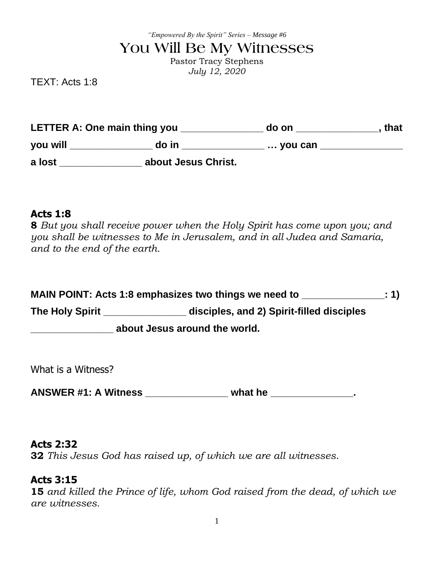*"Empowered By the Spirit" Series – Message #6*

# **You Will Be My Witnesses**

Pastor Tracy Stephens *July 12, 2020*

TEXT: Acts 1:8

**LETTER A: One main thing you \_\_\_\_\_\_\_\_\_\_\_\_\_\_\_ do on \_\_\_\_\_\_\_\_\_\_\_\_\_\_\_, that you will \_\_\_\_\_\_\_\_\_\_\_\_\_\_\_ do in \_\_\_\_\_\_\_\_\_\_\_\_\_\_\_ … you can \_\_\_\_\_\_\_\_\_\_\_\_\_\_\_ a lost \_\_\_\_\_\_\_\_\_\_\_\_\_\_\_ about Jesus Christ.**

### **Acts 1:8**

**8** *But you shall receive power when the Holy Spirit has come upon you; and you shall be witnesses to Me in Jerusalem, and in all Judea and Samaria, and to the end of the earth.*

| MAIN POINT: Acts 1:8 emphasizes two things we need to |                                           | : 1) |  |  |
|-------------------------------------------------------|-------------------------------------------|------|--|--|
| <b>The Holy Spirit</b>                                | disciples, and 2) Spirit-filled disciples |      |  |  |
| about Jesus around the world.                         |                                           |      |  |  |

What is a Witness?

**ANSWER #1: A Witness \_\_\_\_\_\_\_\_\_\_\_\_\_\_\_ what he \_\_\_\_\_\_\_\_\_\_\_\_\_\_\_.**

#### **Acts 2:32**

**32** *This Jesus God has raised up, of which we are all witnesses*.

### **Acts 3:15**

**15** *and killed the Prince of life, whom God raised from the dead, of which we are witnesses.*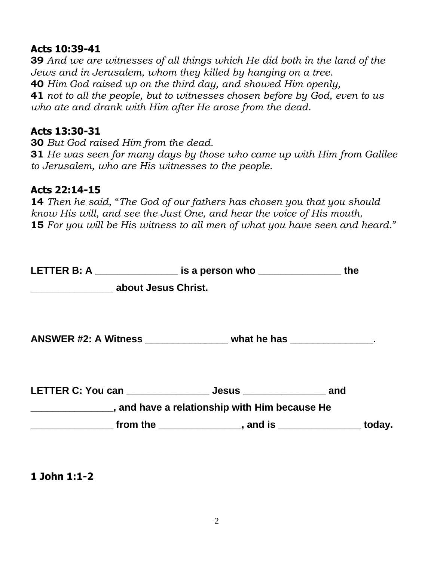# **Acts 10:39-41**

**39** *And we are witnesses of all things which He did both in the land of the Jews and in Jerusalem, whom they killed by hanging on a tree*. **40** *Him God raised up on the third day, and showed Him openly,* **41** *not to all the people, but to witnesses chosen before by God, even to us who ate and drank with Him after He arose from the dead*.

# **Acts 13:30-31**

**30** *But God raised Him from the dead*. **31** *He was seen for many days by those who came up with Him from Galilee to Jerusalem, who are His witnesses to the people*.

# **Acts 22:14-15**

**14** *Then he said*, "*The God of our fathers has chosen you that you should know His will, and see the Just One, and hear the voice of His mouth*. **15** *For you will be His witness to all men of what you have seen and heard*."

|                                               | LETTER B: A __________________ is a person who _________________________________         | the |
|-----------------------------------------------|------------------------------------------------------------------------------------------|-----|
| _________________________ about Jesus Christ. |                                                                                          |     |
|                                               | ANSWER #2: A Witness ___________________ what he has ________________.                   |     |
|                                               | LETTER C: You can _______________________ Jesus _________________________________ and    |     |
|                                               | ____________________, and have a relationship with Him because He                        |     |
|                                               | _______________________ from the ___________________, and is ____________________ today. |     |

**1 John 1:1-2**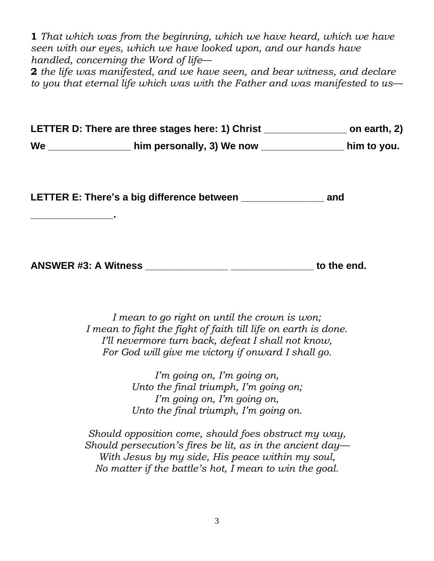**1** *That which was from the beginning, which we have heard, which we have seen with our eyes, which we have looked upon, and our hands have handled, concerning the Word of life*—

**2** *the life was manifested, and we have seen, and bear witness, and declare to you that eternal life which was with the Father and was manifested to us*—

**LETTER D: There are three stages here: 1) Christ \_\_\_\_\_\_\_\_\_\_\_\_\_\_\_ on earth, 2) We \_\_\_\_\_\_\_\_\_\_\_\_\_\_\_ him personally, 3) We now \_\_\_\_\_\_\_\_\_\_\_\_\_\_\_ him to you.**

**LETTER E: There's a big difference between \_\_\_\_\_\_\_\_\_\_\_\_\_\_\_ and** 

**\_\_\_\_\_\_\_\_\_\_\_\_\_\_\_.**

| <b>ANSWER #3: A Witness</b> |  | to the end. |  |
|-----------------------------|--|-------------|--|
|                             |  |             |  |

*I mean to go right on until the crown is won; I mean to fight the fight of faith till life on earth is done. I'll nevermore turn back, defeat I shall not know, For God will give me victory if onward I shall go.*

> *I'm going on, I'm going on, Unto the final triumph, I'm going on; I'm going on, I'm going on, Unto the final triumph, I'm going on.*

*Should opposition come, should foes obstruct my way, Should persecution's fires be lit, as in the ancient day— With Jesus by my side, His peace within my soul, No matter if the battle's hot, I mean to win the goal.*